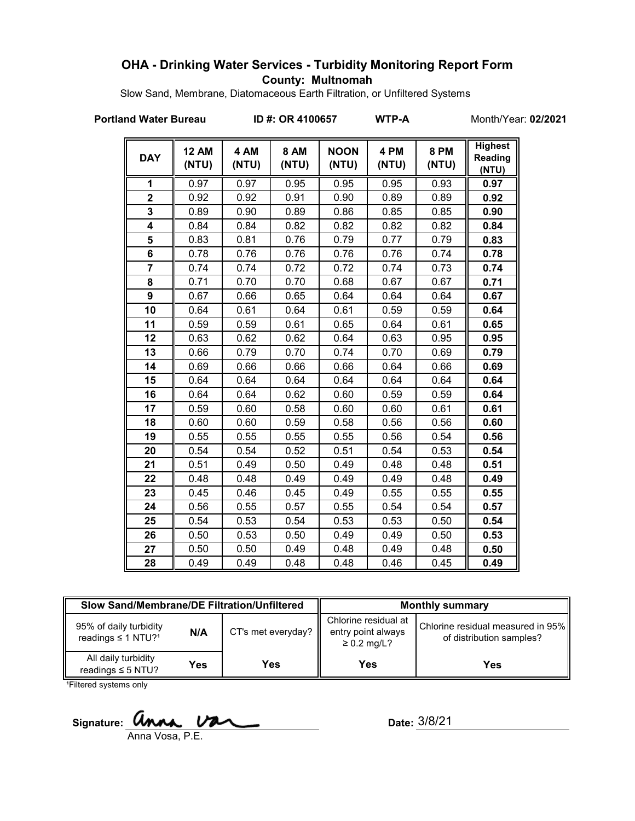## **OHA - Drinking Water Services - Turbidity Monitoring Report Form County: Multnomah**

Slow Sand, Membrane, Diatomaceous Earth Filtration, or Unfiltered Systems

#### **Portland Water Bureau ID #: OR 4100657 WTP-A** Month/Year: **02/2021**

| <b>DAY</b>     | <b>12 AM</b><br>(NTU) | 4 AM<br>(NTU) | <b>8 AM</b><br>(NTU) | <b>NOON</b><br>(NTU) | 4 PM<br>(NTU) | <b>8 PM</b><br>(NTU) | <b>Highest</b><br>Reading<br>(NTU) |
|----------------|-----------------------|---------------|----------------------|----------------------|---------------|----------------------|------------------------------------|
| 1              | 0.97                  | 0.97          | 0.95                 | 0.95                 | 0.95          | 0.93                 | 0.97                               |
| $\overline{2}$ | 0.92                  | 0.92          | 0.91                 | 0.90                 | 0.89          | 0.89                 | 0.92                               |
| 3              | 0.89                  | 0.90          | 0.89                 | 0.86                 | 0.85          | 0.85                 | 0.90                               |
| 4              | 0.84                  | 0.84          | 0.82                 | 0.82                 | 0.82          | 0.82                 | 0.84                               |
| 5              | 0.83                  | 0.81          | 0.76                 | 0.79                 | 0.77          | 0.79                 | 0.83                               |
| 6              | 0.78                  | 0.76          | 0.76                 | 0.76                 | 0.76          | 0.74                 | 0.78                               |
| $\overline{7}$ | 0.74                  | 0.74          | 0.72                 | 0.72                 | 0.74          | 0.73                 | 0.74                               |
| 8              | 0.71                  | 0.70          | 0.70                 | 0.68                 | 0.67          | 0.67                 | 0.71                               |
| 9              | 0.67                  | 0.66          | 0.65                 | 0.64                 | 0.64          | 0.64                 | 0.67                               |
| 10             | 0.64                  | 0.61          | 0.64                 | 0.61                 | 0.59          | 0.59                 | 0.64                               |
| 11             | 0.59                  | 0.59          | 0.61                 | 0.65                 | 0.64          | 0.61                 | 0.65                               |
| 12             | 0.63                  | 0.62          | 0.62                 | 0.64                 | 0.63          | 0.95                 | 0.95                               |
| 13             | 0.66                  | 0.79          | 0.70                 | 0.74                 | 0.70          | 0.69                 | 0.79                               |
| 14             | 0.69                  | 0.66          | 0.66                 | 0.66                 | 0.64          | 0.66                 | 0.69                               |
| 15             | 0.64                  | 0.64          | 0.64                 | 0.64                 | 0.64          | 0.64                 | 0.64                               |
| 16             | 0.64                  | 0.64          | 0.62                 | 0.60                 | 0.59          | 0.59                 | 0.64                               |
| 17             | 0.59                  | 0.60          | 0.58                 | 0.60                 | 0.60          | 0.61                 | 0.61                               |
| 18             | 0.60                  | 0.60          | 0.59                 | 0.58                 | 0.56          | 0.56                 | 0.60                               |
| 19             | 0.55                  | 0.55          | 0.55                 | 0.55                 | 0.56          | 0.54                 | 0.56                               |
| 20             | 0.54                  | 0.54          | 0.52                 | 0.51                 | 0.54          | 0.53                 | 0.54                               |
| 21             | 0.51                  | 0.49          | 0.50                 | 0.49                 | 0.48          | 0.48                 | 0.51                               |
| 22             | 0.48                  | 0.48          | 0.49                 | 0.49                 | 0.49          | 0.48                 | 0.49                               |
| 23             | 0.45                  | 0.46          | 0.45                 | 0.49                 | 0.55          | 0.55                 | 0.55                               |
| 24             | 0.56                  | 0.55          | 0.57                 | 0.55                 | 0.54          | 0.54                 | 0.57                               |
| 25             | 0.54                  | 0.53          | 0.54                 | 0.53                 | 0.53          | 0.50                 | 0.54                               |
| 26             | 0.50                  | 0.53          | 0.50                 | 0.49                 | 0.49          | 0.50                 | 0.53                               |
| 27             | 0.50                  | 0.50          | 0.49                 | 0.48                 | 0.49          | 0.48                 | 0.50                               |
| 28             | 0.49                  | 0.49          | 0.48                 | 0.48                 | 0.46          | 0.45                 | 0.49                               |

| <b>Slow Sand/Membrane/DE Filtration/Unfiltered</b>              |     |                    | <b>Monthly summary</b>                                         |                                                               |  |  |
|-----------------------------------------------------------------|-----|--------------------|----------------------------------------------------------------|---------------------------------------------------------------|--|--|
| 95% of daily turbidity<br>N/A<br>readings ≤ 1 NTU? <sup>1</sup> |     | CT's met everyday? | Chlorine residual at<br>entry point always<br>$\geq$ 0.2 mg/L? | Chlorine residual measured in 95%<br>of distribution samples? |  |  |
| All daily turbidity<br>readings $\leq$ 5 NTU?                   | Yes | Yes                | Yes                                                            | Yes                                                           |  |  |

<sup>1</sup>Filtered systems only

Signature: *Unna Van* 

Anna Vosa, P.E.

Date: 3/8/21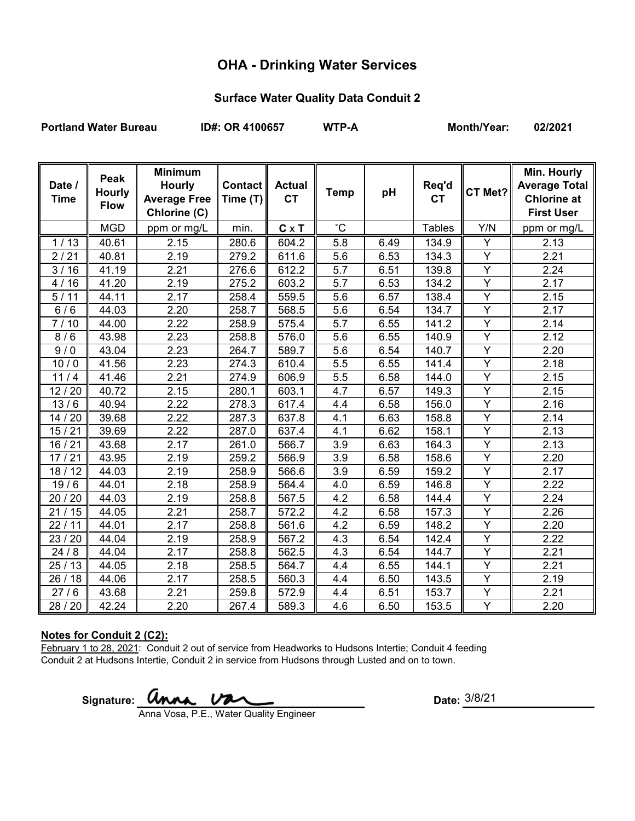# **OHA - Drinking Water Services**

## **Surface Water Quality Data Conduit 2**

Portland Water Bureau **ID#: OR 4100657** WTP-A Month/Year: 02/2021

| Date /<br><b>Time</b> | Peak<br><b>Hourly</b><br><b>Flow</b> | <b>Minimum</b><br><b>Hourly</b><br><b>Average Free</b><br>Chlorine (C) | $\text{Context}$<br>Time $(T)$ | <b>Actual</b><br><b>CT</b> | <b>Temp</b>      | pH   | Req'd<br><b>CT</b> | CT Met?        | Min. Hourly<br><b>Average Total</b><br><b>Chlorine at</b><br><b>First User</b> |
|-----------------------|--------------------------------------|------------------------------------------------------------------------|--------------------------------|----------------------------|------------------|------|--------------------|----------------|--------------------------------------------------------------------------------|
|                       | <b>MGD</b>                           | ppm or mg/L                                                            | min.                           | $C \times T$               | $\overline{c}$   |      | <b>Tables</b>      | Y/N            | ppm or mg/L                                                                    |
| 1/13                  | 40.61                                | 2.15                                                                   | 280.6                          | 604.2                      | 5.8              | 6.49 | 134.9              | Υ              | 2.13                                                                           |
| 2/21                  | 40.81                                | 2.19                                                                   | 279.2                          | 611.6                      | 5.6              | 6.53 | 134.3              | Y              | 2.21                                                                           |
| 3/16                  | 41.19                                | 2.21                                                                   | 276.6                          | 612.2                      | 5.7              | 6.51 | 139.8              | $\overline{Y}$ | 2.24                                                                           |
| 4/16                  | 41.20                                | 2.19                                                                   | 275.2                          | 603.2                      | 5.7              | 6.53 | 134.2              | Y              | 2.17                                                                           |
| 5/11                  | 44.11                                | 2.17                                                                   | 258.4                          | 559.5                      | 5.6              | 6.57 | 138.4              | $\overline{Y}$ | 2.15                                                                           |
| 6/6                   | 44.03                                | 2.20                                                                   | 258.7                          | 568.5                      | 5.6              | 6.54 | 134.7              | Υ              | 2.17                                                                           |
| 7/10                  | 44.00                                | 2.22                                                                   | 258.9                          | 575.4                      | $\overline{5.7}$ | 6.55 | 141.2              | $\overline{Y}$ | 2.14                                                                           |
| 8/6                   | 43.98                                | 2.23                                                                   | 258.8                          | 576.0                      | 5.6              | 6.55 | 140.9              | $\overline{Y}$ | 2.12                                                                           |
| 9/0                   | 43.04                                | 2.23                                                                   | 264.7                          | 589.7                      | 5.6              | 6.54 | 140.7              | $\overline{Y}$ | 2.20                                                                           |
| 10/0                  | 41.56                                | 2.23                                                                   | 274.3                          | 610.4                      | 5.5              | 6.55 | 141.4              | Y              | 2.18                                                                           |
| $11/4$                | 41.46                                | 2.21                                                                   | 274.9                          | 606.9                      | 5.5              | 6.58 | 144.0              | Y              | 2.15                                                                           |
| 12/20                 | 40.72                                | 2.15                                                                   | 280.1                          | 603.1                      | 4.7              | 6.57 | 149.3              | $\overline{Y}$ | 2.15                                                                           |
| 13/6                  | 40.94                                | 2.22                                                                   | 278.3                          | 617.4                      | 4.4              | 6.58 | 156.0              | Y              | 2.16                                                                           |
| 14/20                 | 39.68                                | 2.22                                                                   | 287.3                          | 637.8                      | 4.1              | 6.63 | 158.8              | $\overline{Y}$ | 2.14                                                                           |
| 15/21                 | 39.69                                | 2.22                                                                   | 287.0                          | 637.4                      | 4.1              | 6.62 | 158.1              | Y              | 2.13                                                                           |
| 16/21                 | 43.68                                | 2.17                                                                   | 261.0                          | 566.7                      | 3.9              | 6.63 | 164.3              | Y              | 2.13                                                                           |
| 17/21                 | 43.95                                | 2.19                                                                   | 259.2                          | 566.9                      | 3.9              | 6.58 | 158.6              | $\overline{Y}$ | 2.20                                                                           |
| 18/12                 | 44.03                                | 2.19                                                                   | 258.9                          | 566.6                      | 3.9              | 6.59 | 159.2              | Υ              | 2.17                                                                           |
| 19/6                  | 44.01                                | 2.18                                                                   | 258.9                          | 564.4                      | 4.0              | 6.59 | 146.8              | $\overline{Y}$ | 2.22                                                                           |
| 20 / 20               | 44.03                                | 2.19                                                                   | 258.8                          | 567.5                      | 4.2              | 6.58 | 144.4              | Y              | 2.24                                                                           |
| 21/15                 | 44.05                                | 2.21                                                                   | 258.7                          | 572.2                      | 4.2              | 6.58 | 157.3              | Y              | 2.26                                                                           |
| 22/11                 | 44.01                                | 2.17                                                                   | 258.8                          | 561.6                      | 4.2              | 6.59 | 148.2              | Y              | 2.20                                                                           |
| 23 / 20               | 44.04                                | 2.19                                                                   | 258.9                          | 567.2                      | $4.\overline{3}$ | 6.54 | 142.4              | $\overline{Y}$ | 2.22                                                                           |
| 24/8                  | 44.04                                | 2.17                                                                   | 258.8                          | 562.5                      | 4.3              | 6.54 | 144.7              | $\overline{Y}$ | 2.21                                                                           |
| 25/13                 | 44.05                                | 2.18                                                                   | 258.5                          | 564.7                      | 4.4              | 6.55 | 144.1              | $\overline{Y}$ | 2.21                                                                           |
| 26/18                 | 44.06                                | 2.17                                                                   | 258.5                          | 560.3                      | 4.4              | 6.50 | 143.5              | Y              | 2.19                                                                           |
| 27/6                  | 43.68                                | 2.21                                                                   | 259.8                          | 572.9                      | 4.4              | 6.51 | 153.7              | Y              | 2.21                                                                           |
| 28 / 20               | 42.24                                | 2.20                                                                   | 267.4                          | 589.3                      | 4.6              | 6.50 | 153.5              | Y              | 2.20                                                                           |

## **Notes for Conduit 2 (C2):**

February 1 to 28, 2021: Conduit 2 out of service from Headworks to Hudsons Intertie; Conduit 4 feeding Conduit 2 at Hudsons Intertie, Conduit 2 in service from Hudsons through Lusted and on to town.

Signature: **UNNA, UZA** COME CONSIDERED Bate:

Anna Vosa, P.E., Water Quality Engineer

Date:  $3/8/21$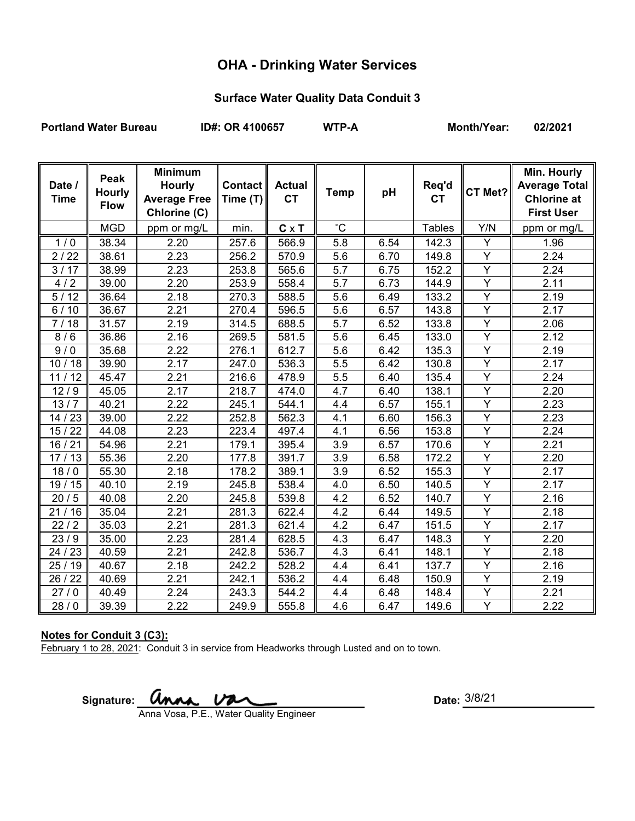# **OHA - Drinking Water Services**

## **Surface Water Quality Data Conduit 3**

Portland Water Bureau **ID#: OR 4100657** WTP-A Month/Year: 02/2021

| Date /<br><b>Time</b> | Peak<br><b>Hourly</b><br><b>Flow</b> | <b>Minimum</b><br><b>Hourly</b><br><b>Average Free</b><br>Chlorine (C) | <b>Contact</b><br>Time (T) | <b>Actual</b><br><b>CT</b> | <b>Temp</b>      | pH   | Req'd<br><b>CT</b> | CT Met?        | Min. Hourly<br><b>Average Total</b><br><b>Chlorine at</b><br><b>First User</b> |
|-----------------------|--------------------------------------|------------------------------------------------------------------------|----------------------------|----------------------------|------------------|------|--------------------|----------------|--------------------------------------------------------------------------------|
|                       | <b>MGD</b>                           | ppm or mg/L                                                            | min.                       | $C \times T$               | $^{\circ}$ C     |      | <b>Tables</b>      | Y/N            | ppm or mg/L                                                                    |
| 1/0                   | 38.34                                | 2.20                                                                   | 257.6                      | 566.9                      | $\overline{5.8}$ | 6.54 | 142.3              | Y              | 1.96                                                                           |
| 2/22                  | 38.61                                | 2.23                                                                   | 256.2                      | 570.9                      | 5.6              | 6.70 | 149.8              | Y              | 2.24                                                                           |
| 3/17                  | 38.99                                | 2.23                                                                   | 253.8                      | 565.6                      | 5.7              | 6.75 | 152.2              | Y              | 2.24                                                                           |
| 4/2                   | 39.00                                | 2.20                                                                   | 253.9                      | 558.4                      | 5.7              | 6.73 | 144.9              | Y              | 2.11                                                                           |
| 5/12                  | 36.64                                | 2.18                                                                   | 270.3                      | 588.5                      | 5.6              | 6.49 | 133.2              | $\overline{Y}$ | 2.19                                                                           |
| $6/10$                | 36.67                                | 2.21                                                                   | 270.4                      | 596.5                      | 5.6              | 6.57 | 143.8              | Y              | 2.17                                                                           |
| 7/18                  | 31.57                                | 2.19                                                                   | 314.5                      | 688.5                      | 5.7              | 6.52 | 133.8              | $\overline{Y}$ | 2.06                                                                           |
| 8/6                   | 36.86                                | 2.16                                                                   | 269.5                      | 581.5                      | 5.6              | 6.45 | 133.0              | $\overline{Y}$ | 2.12                                                                           |
| 9/0                   | 35.68                                | 2.22                                                                   | 276.1                      | 612.7                      | 5.6              | 6.42 | 135.3              | Y              | 2.19                                                                           |
| 10/18                 | 39.90                                | 2.17                                                                   | 247.0                      | 536.3                      | 5.5              | 6.42 | 130.8              | Y              | 2.17                                                                           |
| 11/12                 | 45.47                                | 2.21                                                                   | 216.6                      | 478.9                      | 5.5              | 6.40 | 135.4              | Y              | 2.24                                                                           |
| 12/9                  | 45.05                                | 2.17                                                                   | 218.7                      | 474.0                      | 4.7              | 6.40 | 138.1              | Y              | 2.20                                                                           |
| 13/7                  | 40.21                                | 2.22                                                                   | 245.1                      | 544.1                      | 4.4              | 6.57 | 155.1              | Y              | 2.23                                                                           |
| 14 / 23               | 39.00                                | 2.22                                                                   | 252.8                      | 562.3                      | 4.1              | 6.60 | 156.3              | $\overline{Y}$ | 2.23                                                                           |
| 15/22                 | 44.08                                | 2.23                                                                   | 223.4                      | 497.4                      | 4.1              | 6.56 | 153.8              | Y              | 2.24                                                                           |
| 16/21                 | 54.96                                | 2.21                                                                   | 179.1                      | 395.4                      | 3.9              | 6.57 | 170.6              | $\overline{Y}$ | 2.21                                                                           |
| 17/13                 | 55.36                                | 2.20                                                                   | 177.8                      | 391.7                      | 3.9              | 6.58 | 172.2              | Y              | 2.20                                                                           |
| 18/0                  | 55.30                                | 2.18                                                                   | 178.2                      | 389.1                      | 3.9              | 6.52 | 155.3              | Y              | 2.17                                                                           |
| 19/15                 | 40.10                                | 2.19                                                                   | 245.8                      | 538.4                      | 4.0              | 6.50 | 140.5              | $\overline{Y}$ | 2.17                                                                           |
| 20/5                  | 40.08                                | 2.20                                                                   | 245.8                      | 539.8                      | 4.2              | 6.52 | 140.7              | Y              | 2.16                                                                           |
| 21/16                 | 35.04                                | 2.21                                                                   | 281.3                      | 622.4                      | 4.2              | 6.44 | 149.5              | $\overline{Y}$ | 2.18                                                                           |
| 22/2                  | 35.03                                | 2.21                                                                   | 281.3                      | 621.4                      | 4.2              | 6.47 | 151.5              | Y              | 2.17                                                                           |
| 23/9                  | 35.00                                | $\overline{2}.23$                                                      | 281.4                      | 628.5                      | 4.3              | 6.47 | 148.3              | $\overline{Y}$ | 2.20                                                                           |
| 24 / 23               | 40.59                                | 2.21                                                                   | 242.8                      | 536.7                      | 4.3              | 6.41 | 148.1              | Y              | 2.18                                                                           |
| 25/19                 | 40.67                                | 2.18                                                                   | 242.2                      | 528.2                      | 4.4              | 6.41 | 137.7              | Y              | 2.16                                                                           |
| 26 / 22               | 40.69                                | 2.21                                                                   | 242.1                      | 536.2                      | 4.4              | 6.48 | 150.9              | Y              | 2.19                                                                           |
| 27/0                  | 40.49                                | 2.24                                                                   | 243.3                      | 544.2                      | 4.4              | 6.48 | 148.4              | Υ              | 2.21                                                                           |
| 28/0                  | 39.39                                | 2.22                                                                   | 249.9                      | 555.8                      | 4.6              | 6.47 | 149.6              | $\overline{Y}$ | 2.22                                                                           |

#### **Notes for Conduit 3 (C3):**

February 1 to 28, 2021: Conduit 3 in service from Headworks through Lusted and on to town.

 $Signature:$ 

Anna Vosa, P.E., Water Quality Engineer

Date: 3/8/21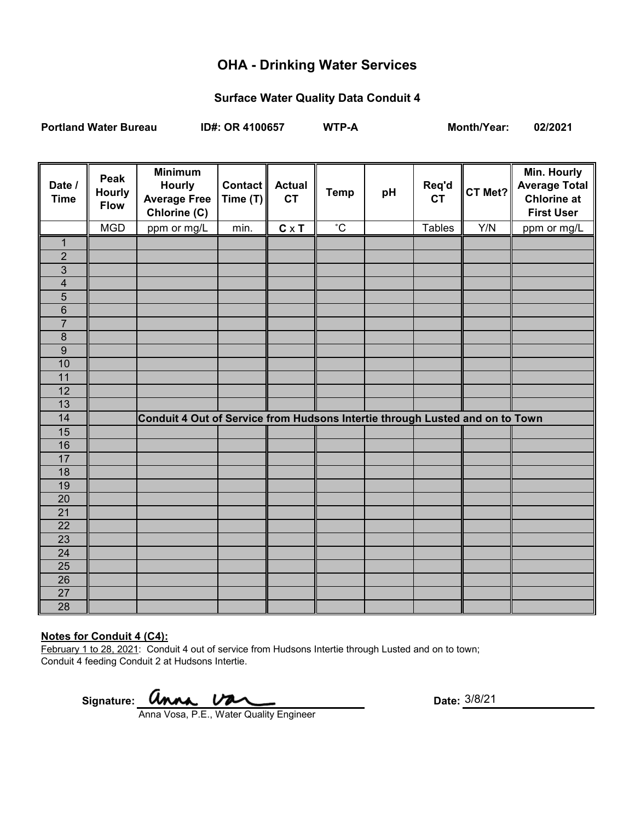## **OHA - Drinking Water Services**

#### **Surface Water Quality Data Conduit 4**

**Portland Water Bureau ID#: OR 4100657 WTP-A Month/Year: 02/2021**

**Date / Time Peak Hourly Flow Minimum Hourly Average Free Chlorine (C) Contact Time (T) Actual CT Temp pH Req'd**  Req'd CT Met? **Min. Hourly Average Total Chlorine at First User**  MGD ppm or mg/L min. **C** x **T** ˚C Tables Y/N ppm or mg/L 1 2 3 4 5 6 7 8 9 10 11 12 13 14 **Conduit 4 Out of Service from Hudsons Intertie through Lusted and on to Town** 15 16 17 18 19 20 21 22 23 24 25 26 27 28

#### **Notes for Conduit 4 (C4):**

February 1 to 28, 2021: Conduit 4 out of service from Hudsons Intertie through Lusted and on to town; Conduit 4 feeding Conduit 2 at Hudsons Intertie.

Signature: **UNAA.** UNACL COME CONTROLLER: Date:

Anna Vosa, P.E., Water Quality Engineer

3/8/21